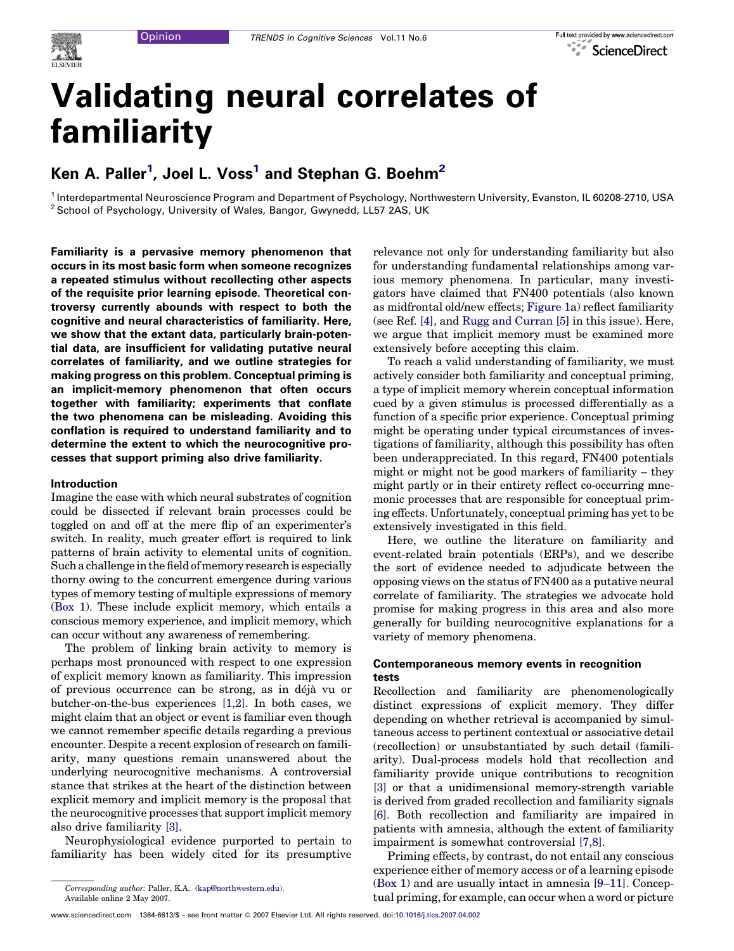# Validating neural correlates of familiarity

# Ken A. Paller $^1$ , Joel L. Voss $^1$  and Stephan G. Boehm $^2$

<sup>1</sup> Interdepartmental Neuroscience Program and Department of Psychology, Northwestern University, Evanston, IL 60208-2710, USA <sup>2</sup> School of Psychology, University of Wales, Bangor, Gwynedd, LL57 2AS, UK

Familiarity is a pervasive memory phenomenon that occurs in its most basic form when someone recognizes a repeated stimulus without recollecting other aspects of the requisite prior learning episode. Theoretical controversy currently abounds with respect to both the cognitive and neural characteristics of familiarity. Here, we show that the extant data, particularly brain-potential data, are insufficient for validating putative neural correlates of familiarity, and we outline strategies for making progress on this problem. Conceptual priming is an implicit-memory phenomenon that often occurs together with familiarity; experiments that conflate the two phenomena can be misleading. Avoiding this conflation is required to understand familiarity and to determine the extent to which the neurocognitive processes that support priming also drive familiarity.

#### Introduction

Imagine the ease with which neural substrates of cognition could be dissected if relevant brain processes could be toggled on and off at the mere flip of an experimenter's switch. In reality, much greater effort is required to link patterns of brain activity to elemental units of cognition. Such a challenge in the field of memory research is especially thorny owing to the concurrent emergence during various types of memory testing of multiple expressions of memory ([Box 1](#page-1-0)). These include explicit memory, which entails a conscious memory experience, and implicit memory, which can occur without any awareness of remembering.

The problem of linking brain activity to memory is perhaps most pronounced with respect to one expression of explicit memory known as familiarity. This impression of previous occurrence can be strong, as in déjà vu or butcher-on-the-bus experiences [\[1,2\].](#page-6-0) In both cases, we might claim that an object or event is familiar even though we cannot remember specific details regarding a previous encounter. Despite a recent explosion of research on familiarity, many questions remain unanswered about the underlying neurocognitive mechanisms. A controversial stance that strikes at the heart of the distinction between explicit memory and implicit memory is the proposal that the neurocognitive processes that support implicit memory also drive familiarity [\[3\]](#page-6-0).

Neurophysiological evidence purported to pertain to familiarity has been widely cited for its presumptive relevance not only for understanding familiarity but also for understanding fundamental relationships among various memory phenomena. In particular, many investigators have claimed that FN400 potentials (also known as midfrontal old/new effects; [Figure 1](#page-2-0)a) reflect familiarity (see Ref. [\[4\],](#page-6-0) and [Rugg and Curran](http://dx.doi.org/10.1016/j.tics.2007.04.004) [\[5\]](#page-6-0) in this issue). Here, we argue that implicit memory must be examined more extensively before accepting this claim.

To reach a valid understanding of familiarity, we must actively consider both familiarity and conceptual priming, a type of implicit memory wherein conceptual information cued by a given stimulus is processed differentially as a function of a specific prior experience. Conceptual priming might be operating under typical circumstances of investigations of familiarity, although this possibility has often been underappreciated. In this regard, FN400 potentials might or might not be good markers of familiarity – they might partly or in their entirety reflect co-occurring mnemonic processes that are responsible for conceptual priming effects. Unfortunately, conceptual priming has yet to be extensively investigated in this field.

Here, we outline the literature on familiarity and event-related brain potentials (ERPs), and we describe the sort of evidence needed to adjudicate between the opposing views on the status of FN400 as a putative neural correlate of familiarity. The strategies we advocate hold promise for making progress in this area and also more generally for building neurocognitive explanations for a variety of memory phenomena.

### Contemporaneous memory events in recognition tests

Recollection and familiarity are phenomenologically distinct expressions of explicit memory. They differ depending on whether retrieval is accompanied by simultaneous access to pertinent contextual or associative detail (recollection) or unsubstantiated by such detail (familiarity). Dual-process models hold that recollection and familiarity provide unique contributions to recognition [\[3\]](#page-6-0) or that a unidimensional memory-strength variable is derived from graded recollection and familiarity signals [\[6\].](#page-6-0) Both recollection and familiarity are impaired in patients with amnesia, although the extent of familiarity impairment is somewhat controversial [\[7,8\].](#page-6-0)

Priming effects, by contrast, do not entail any conscious experience either of memory access or of a learning episode ([Box 1](#page-1-0)) and are usually intact in amnesia [\[9–11\].](#page-6-0) Conceptual priming, for example, can occur when a word or picture

Corresponding author: Paller, K.A. [\(kap@northwestern.edu](mailto:kap@northwestern.edu)). Available online 2 May 2007.

www.sciencedirect.com 1364-6613/\$ – see front matter © 2007 Elsevier Ltd. All rights reserved. doi:[10.1016/j.tics.2007.04.002](http://dx.doi.org/10.1016/j.tics.2007.04.002)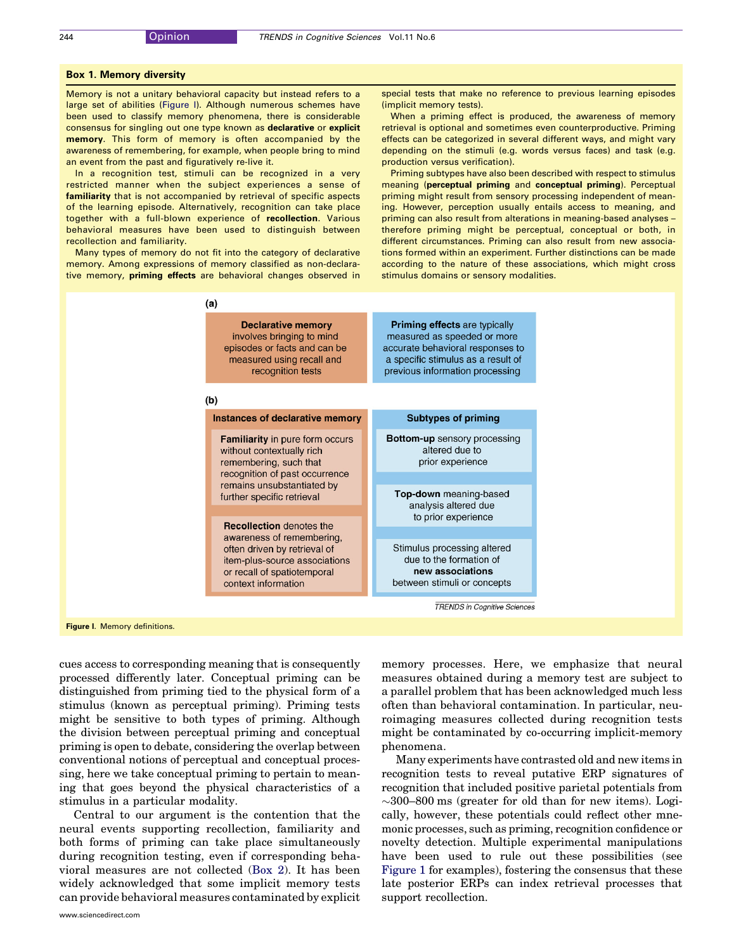#### <span id="page-1-0"></span>Box 1. Memory diversity

Memory is not a unitary behavioral capacity but instead refers to a large set of abilities (Figure I). Although numerous schemes have been used to classify memory phenomena, there is considerable consensus for singling out one type known as declarative or explicit memory. This form of memory is often accompanied by the awareness of remembering, for example, when people bring to mind an event from the past and figuratively re-live it.

In a recognition test, stimuli can be recognized in a very restricted manner when the subject experiences a sense of familiarity that is not accompanied by retrieval of specific aspects of the learning episode. Alternatively, recognition can take place together with a full-blown experience of recollection. Various behavioral measures have been used to distinguish between recollection and familiarity.

Many types of memory do not fit into the category of declarative memory. Among expressions of memory classified as non-declarative memory, priming effects are behavioral changes observed in special tests that make no reference to previous learning episodes (implicit memory tests).

When a priming effect is produced, the awareness of memory retrieval is optional and sometimes even counterproductive. Priming effects can be categorized in several different ways, and might vary depending on the stimuli (e.g. words versus faces) and task (e.g. production versus verification).

Priming subtypes have also been described with respect to stimulus meaning (perceptual priming and conceptual priming). Perceptual priming might result from sensory processing independent of meaning. However, perception usually entails access to meaning, and priming can also result from alterations in meaning-based analyses – therefore priming might be perceptual, conceptual or both, in different circumstances. Priming can also result from new associations formed within an experiment. Further distinctions can be made according to the nature of these associations, which might cross stimulus domains or sensory modalities.



cues access to corresponding meaning that is consequently processed differently later. Conceptual priming can be distinguished from priming tied to the physical form of a stimulus (known as perceptual priming). Priming tests might be sensitive to both types of priming. Although the division between perceptual priming and conceptual priming is open to debate, considering the overlap between conventional notions of perceptual and conceptual processing, here we take conceptual priming to pertain to meaning that goes beyond the physical characteristics of a stimulus in a particular modality.

Central to our argument is the contention that the neural events supporting recollection, familiarity and both forms of priming can take place simultaneously during recognition testing, even if corresponding behavioral measures are not collected ([Box 2](#page-3-0)). It has been widely acknowledged that some implicit memory tests can provide behavioral measures contaminated by explicit memory processes. Here, we emphasize that neural measures obtained during a memory test are subject to a parallel problem that has been acknowledged much less often than behavioral contamination. In particular, neuroimaging measures collected during recognition tests might be contaminated by co-occurring implicit-memory phenomena.

Many experiments have contrasted old and new items in recognition tests to reveal putative ERP signatures of recognition that included positive parietal potentials from  $\sim$ 300–800 ms (greater for old than for new items). Logically, however, these potentials could reflect other mnemonic processes, such as priming, recognition confidence or novelty detection. Multiple experimental manipulations have been used to rule out these possibilities (see [Figure 1](#page-2-0) for examples), fostering the consensus that these late posterior ERPs can index retrieval processes that support recollection.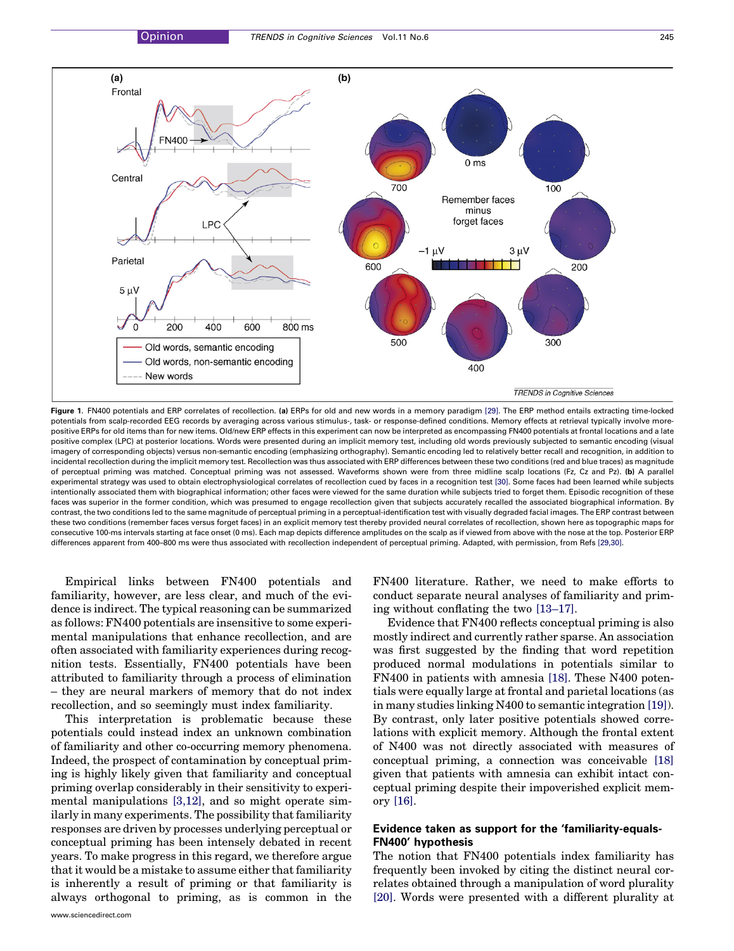<span id="page-2-0"></span>

Figure 1. FN400 potentials and ERP correlates of recollection. (a) ERPs for old and new words in a memory paradigm [\[29\]](#page-7-0). The ERP method entails extracting time-locked potentials from scalp-recorded EEG records by averaging across various stimulus-, task- or response-defined conditions. Memory effects at retrieval typically involve morepositive ERPs for old items than for new items. Old/new ERP effects in this experiment can now be interpreted as encompassing FN400 potentials at frontal locations and a late positive complex (LPC) at posterior locations. Words were presented during an implicit memory test, including old words previously subjected to semantic encoding (visual imagery of corresponding objects) versus non-semantic encoding (emphasizing orthography). Semantic encoding led to relatively better recall and recognition, in addition to incidental recollection during the implicit memory test. Recollection was thus associated with ERP differences between these two conditions (red and blue traces) as magnitude of perceptual priming was matched. Conceptual priming was not assessed. Waveforms shown were from three midline scalp locations (Fz, Cz and Pz). (b) A parallel experimental strategy was used to obtain electrophysiological correlates of recollection cued by faces in a recognition test [\[30\]](#page-7-0). Some faces had been learned while subjects intentionally associated them with biographical information; other faces were viewed for the same duration while subjects tried to forget them. Episodic recognition of these faces was superior in the former condition, which was presumed to engage recollection given that subjects accurately recalled the associated biographical information. By contrast, the two conditions led to the same magnitude of perceptual priming in a perceptual-identification test with visually degraded facial images. The ERP contrast between these two conditions (remember faces versus forget faces) in an explicit memory test thereby provided neural correlates of recollection, shown here as topographic maps for consecutive 100-ms intervals starting at face onset (0 ms). Each map depicts difference amplitudes on the scalp as if viewed from above with the nose at the top. Posterior ERP differences apparent from 400–800 ms were thus associated with recollection independent of perceptual priming. Adapted, with permission, from Refs [\[29,30\]](#page-7-0).

Empirical links between FN400 potentials and familiarity, however, are less clear, and much of the evidence is indirect. The typical reasoning can be summarized as follows: FN400 potentials are insensitive to some experimental manipulations that enhance recollection, and are often associated with familiarity experiences during recognition tests. Essentially, FN400 potentials have been attributed to familiarity through a process of elimination – they are neural markers of memory that do not index recollection, and so seemingly must index familiarity.

This interpretation is problematic because these potentials could instead index an unknown combination of familiarity and other co-occurring memory phenomena. Indeed, the prospect of contamination by conceptual priming is highly likely given that familiarity and conceptual priming overlap considerably in their sensitivity to experimental manipulations [\[3,12\]](#page-6-0), and so might operate similarly in many experiments. The possibility that familiarity responses are driven by processes underlying perceptual or conceptual priming has been intensely debated in recent years. To make progress in this regard, we therefore argue that it would be a mistake to assume either that familiarity is inherently a result of priming or that familiarity is always orthogonal to priming, as is common in the FN400 literature. Rather, we need to make efforts to conduct separate neural analyses of familiarity and priming without conflating the two [\[13–17\].](#page-6-0)

Evidence that FN400 reflects conceptual priming is also mostly indirect and currently rather sparse. An association was first suggested by the finding that word repetition produced normal modulations in potentials similar to FN400 in patients with amnesia [\[18\]](#page-6-0). These N400 potentials were equally large at frontal and parietal locations (as in many studies linking N400 to semantic integration [\[19\]\)](#page-6-0). By contrast, only later positive potentials showed correlations with explicit memory. Although the frontal extent of N400 was not directly associated with measures of conceptual priming, a connection was conceivable [\[18\]](#page-6-0) given that patients with amnesia can exhibit intact conceptual priming despite their impoverished explicit memory [\[16\]](#page-6-0).

# Evidence taken as support for the 'familiarity-equals-FN400' hypothesis

The notion that FN400 potentials index familiarity has frequently been invoked by citing the distinct neural correlates obtained through a manipulation of word plurality [\[20\]](#page-6-0). Words were presented with a different plurality at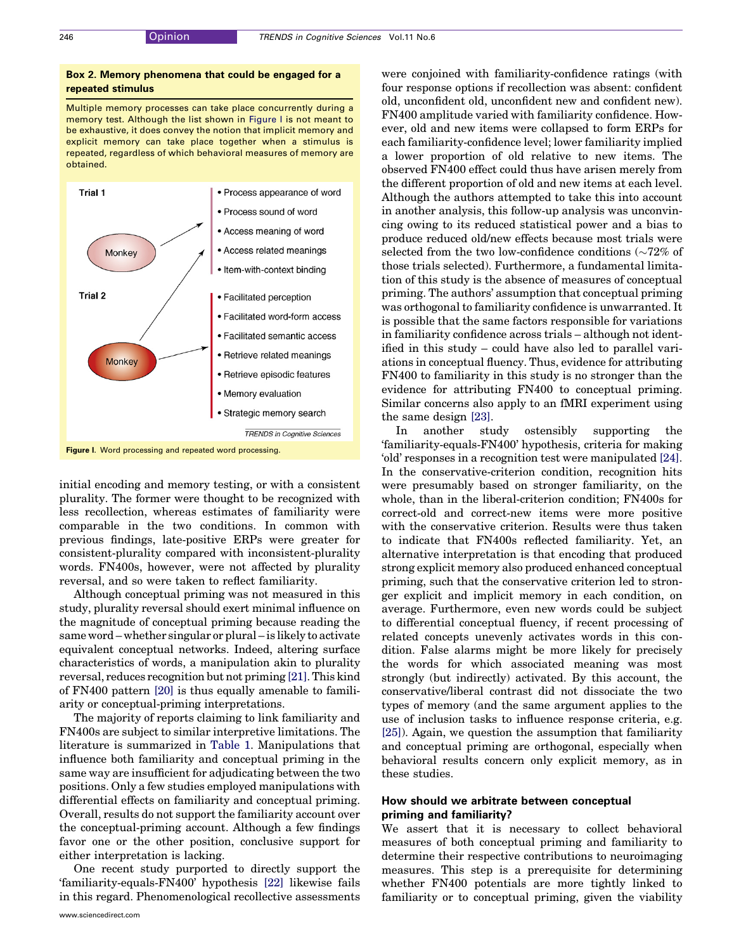## <span id="page-3-0"></span>Box 2. Memory phenomena that could be engaged for a repeated stimulus

Multiple memory processes can take place concurrently during a memory test. Although the list shown in Figure I is not meant to be exhaustive, it does convey the notion that implicit memory and explicit memory can take place together when a stimulus is repeated, regardless of which behavioral measures of memory are obtained.



initial encoding and memory testing, or with a consistent plurality. The former were thought to be recognized with less recollection, whereas estimates of familiarity were comparable in the two conditions. In common with previous findings, late-positive ERPs were greater for consistent-plurality compared with inconsistent-plurality words. FN400s, however, were not affected by plurality reversal, and so were taken to reflect familiarity.

Although conceptual priming was not measured in this study, plurality reversal should exert minimal influence on the magnitude of conceptual priming because reading the same word – whether singular or plural – is likely to activate equivalent conceptual networks. Indeed, altering surface characteristics of words, a manipulation akin to plurality reversal, reduces recognition but not priming [\[21\]](#page-6-0). This kind of FN400 pattern [\[20\]](#page-6-0) is thus equally amenable to familiarity or conceptual-priming interpretations.

The majority of reports claiming to link familiarity and FN400s are subject to similar interpretive limitations. The literature is summarized in [Table 1](#page-4-0). Manipulations that influence both familiarity and conceptual priming in the same way are insufficient for adjudicating between the two positions. Only a few studies employed manipulations with differential effects on familiarity and conceptual priming. Overall, results do not support the familiarity account over the conceptual-priming account. Although a few findings favor one or the other position, conclusive support for either interpretation is lacking.

One recent study purported to directly support the 'familiarity-equals-FN400' hypothesis [\[22\]](#page-7-0) likewise fails in this regard. Phenomenological recollective assessments

www.sciencedirect.com

were conjoined with familiarity-confidence ratings (with four response options if recollection was absent: confident old, unconfident old, unconfident new and confident new). FN400 amplitude varied with familiarity confidence. However, old and new items were collapsed to form ERPs for each familiarity-confidence level; lower familiarity implied a lower proportion of old relative to new items. The observed FN400 effect could thus have arisen merely from the different proportion of old and new items at each level. Although the authors attempted to take this into account in another analysis, this follow-up analysis was unconvincing owing to its reduced statistical power and a bias to produce reduced old/new effects because most trials were selected from the two low-confidence conditions  $\sim 72\%$  of those trials selected). Furthermore, a fundamental limitation of this study is the absence of measures of conceptual priming. The authors' assumption that conceptual priming was orthogonal to familiarity confidence is unwarranted. It is possible that the same factors responsible for variations in familiarity confidence across trials – although not identified in this study – could have also led to parallel variations in conceptual fluency. Thus, evidence for attributing FN400 to familiarity in this study is no stronger than the evidence for attributing FN400 to conceptual priming. Similar concerns also apply to an fMRI experiment using the same design [\[23\].](#page-7-0)

In another study ostensibly supporting the 'familiarity-equals-FN400' hypothesis, criteria for making 'old' responses in a recognition test were manipulated [\[24\]](#page-7-0). In the conservative-criterion condition, recognition hits were presumably based on stronger familiarity, on the whole, than in the liberal-criterion condition; FN400s for correct-old and correct-new items were more positive with the conservative criterion. Results were thus taken to indicate that FN400s reflected familiarity. Yet, an alternative interpretation is that encoding that produced strong explicit memory also produced enhanced conceptual priming, such that the conservative criterion led to stronger explicit and implicit memory in each condition, on average. Furthermore, even new words could be subject to differential conceptual fluency, if recent processing of related concepts unevenly activates words in this condition. False alarms might be more likely for precisely the words for which associated meaning was most strongly (but indirectly) activated. By this account, the conservative/liberal contrast did not dissociate the two types of memory (and the same argument applies to the use of inclusion tasks to influence response criteria, e.g. [\[25\]](#page-7-0)). Again, we question the assumption that familiarity and conceptual priming are orthogonal, especially when behavioral results concern only explicit memory, as in these studies.

#### How should we arbitrate between conceptual priming and familiarity?

We assert that it is necessary to collect behavioral measures of both conceptual priming and familiarity to determine their respective contributions to neuroimaging measures. This step is a prerequisite for determining whether FN400 potentials are more tightly linked to familiarity or to conceptual priming, given the viability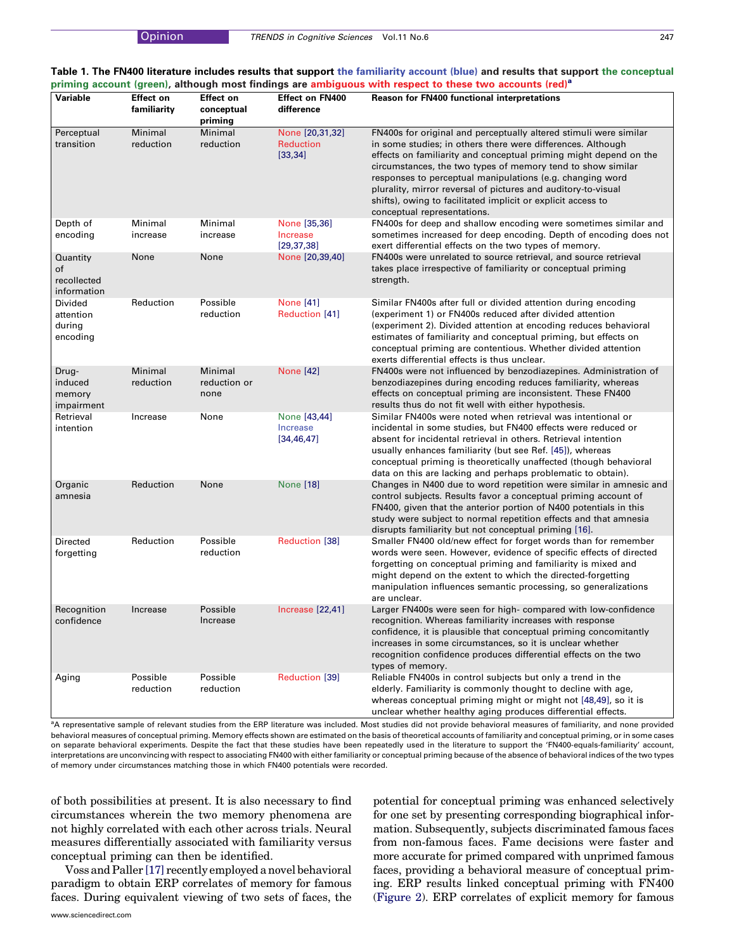<span id="page-4-0"></span>

|  | Table 1. The FN400 literature includes results that support the familiarity account (blue) and results that support the conceptual |  |  |
|--|------------------------------------------------------------------------------------------------------------------------------------|--|--|
|  | priming account (green), although most findings are ambiguous with respect to these two accounts (red) <sup>a</sup>                |  |  |

| Variable                                     | <b>Effect on</b><br>familiarity | <b>Effect on</b><br>conceptual<br>priming | <b>Effect on FN400</b><br>difference            | Reason for FN400 functional interpretations                                                                                                                                                                                                                                                                                                                                                                                                                                                       |
|----------------------------------------------|---------------------------------|-------------------------------------------|-------------------------------------------------|---------------------------------------------------------------------------------------------------------------------------------------------------------------------------------------------------------------------------------------------------------------------------------------------------------------------------------------------------------------------------------------------------------------------------------------------------------------------------------------------------|
| Perceptual<br>transition                     | Minimal<br>reduction            | Minimal<br>reduction                      | None [20,31,32]<br><b>Reduction</b><br>[33, 34] | FN400s for original and perceptually altered stimuli were similar<br>in some studies; in others there were differences. Although<br>effects on familiarity and conceptual priming might depend on the<br>circumstances, the two types of memory tend to show similar<br>responses to perceptual manipulations (e.g. changing word<br>plurality, mirror reversal of pictures and auditory-to-visual<br>shifts), owing to facilitated implicit or explicit access to<br>conceptual representations. |
| Depth of<br>encoding                         | Minimal<br>increase             | Minimal<br>increase                       | None [35,36]<br>Increase<br>[29, 37, 38]        | FN400s for deep and shallow encoding were sometimes similar and<br>sometimes increased for deep encoding. Depth of encoding does not<br>exert differential effects on the two types of memory.                                                                                                                                                                                                                                                                                                    |
| Quantity<br>of<br>recollected<br>information | None                            | None                                      | None [20,39,40]                                 | FN400s were unrelated to source retrieval, and source retrieval<br>takes place irrespective of familiarity or conceptual priming<br>strength.                                                                                                                                                                                                                                                                                                                                                     |
| Divided<br>attention<br>during<br>encoding   | Reduction                       | Possible<br>reduction                     | None [41]<br>Reduction [41]                     | Similar FN400s after full or divided attention during encoding<br>(experiment 1) or FN400s reduced after divided attention<br>(experiment 2). Divided attention at encoding reduces behavioral<br>estimates of familiarity and conceptual priming, but effects on<br>conceptual priming are contentious. Whether divided attention<br>exerts differential effects is thus unclear.                                                                                                                |
| Drug-<br>induced<br>memory<br>impairment     | Minimal<br>reduction            | Minimal<br>reduction or<br>none           | <b>None [42]</b>                                | FN400s were not influenced by benzodiazepines. Administration of<br>benzodiazepines during encoding reduces familiarity, whereas<br>effects on conceptual priming are inconsistent. These FN400<br>results thus do not fit well with either hypothesis.                                                                                                                                                                                                                                           |
| Retrieval<br>intention                       | Increase                        | None                                      | None [43,44]<br>Increase<br>[34, 46, 47]        | Similar FN400s were noted when retrieval was intentional or<br>incidental in some studies, but FN400 effects were reduced or<br>absent for incidental retrieval in others. Retrieval intention<br>usually enhances familiarity (but see Ref. [45]), whereas<br>conceptual priming is theoretically unaffected (though behavioral<br>data on this are lacking and perhaps problematic to obtain).                                                                                                  |
| Organic<br>amnesia                           | Reduction                       | None                                      | <b>None</b> [18]                                | Changes in N400 due to word repetition were similar in amnesic and<br>control subjects. Results favor a conceptual priming account of<br>FN400, given that the anterior portion of N400 potentials in this<br>study were subject to normal repetition effects and that amnesia<br>disrupts familiarity but not conceptual priming [16].                                                                                                                                                           |
| Directed<br>forgetting                       | Reduction                       | Possible<br>reduction                     | Reduction [38]                                  | Smaller FN400 old/new effect for forget words than for remember<br>words were seen. However, evidence of specific effects of directed<br>forgetting on conceptual priming and familiarity is mixed and<br>might depend on the extent to which the directed-forgetting<br>manipulation influences semantic processing, so generalizations<br>are unclear.                                                                                                                                          |
| Recognition<br>confidence                    | Increase                        | Possible<br>Increase                      | Increase [22,41]                                | Larger FN400s were seen for high- compared with low-confidence<br>recognition. Whereas familiarity increases with response<br>confidence, it is plausible that conceptual priming concomitantly<br>increases in some circumstances, so it is unclear whether<br>recognition confidence produces differential effects on the two<br>types of memory.                                                                                                                                               |
| Aging                                        | Possible<br>reduction           | Possible<br>reduction                     | Reduction [39]                                  | Reliable FN400s in control subjects but only a trend in the<br>elderly. Familiarity is commonly thought to decline with age,<br>whereas conceptual priming might or might not [48,49], so it is<br>unclear whether healthy aging produces differential effects.                                                                                                                                                                                                                                   |

<sup>a</sup>A representative sample of relevant studies from the ERP literature was included. Most studies did not provide behavioral measures of familiarity, and none provided behavioral measures of conceptual priming. Memory effects shown are estimated on the basis of theoretical accounts of familiarity and conceptual priming, or in some cases on separate behavioral experiments. Despite the fact that these studies have been repeatedly used in the literature to support the 'FN400-equals-familiarity' account, interpretations are unconvincing with respect to associating FN400 with either familiarity or conceptual priming because of the absence of behavioral indices of the two types of memory under circumstances matching those in which FN400 potentials were recorded.

of both possibilities at present. It is also necessary to find circumstances wherein the two memory phenomena are not highly correlated with each other across trials. Neural measures differentially associated with familiarity versus conceptual priming can then be identified.

Voss and Paller [\[17\]](#page-6-0) recently employed a novel behavioral paradigm to obtain ERP correlates of memory for famous faces. During equivalent viewing of two sets of faces, the potential for conceptual priming was enhanced selectively for one set by presenting corresponding biographical information. Subsequently, subjects discriminated famous faces from non-famous faces. Fame decisions were faster and more accurate for primed compared with unprimed famous faces, providing a behavioral measure of conceptual priming. ERP results linked conceptual priming with FN400 ([Figure 2\)](#page-5-0). ERP correlates of explicit memory for famous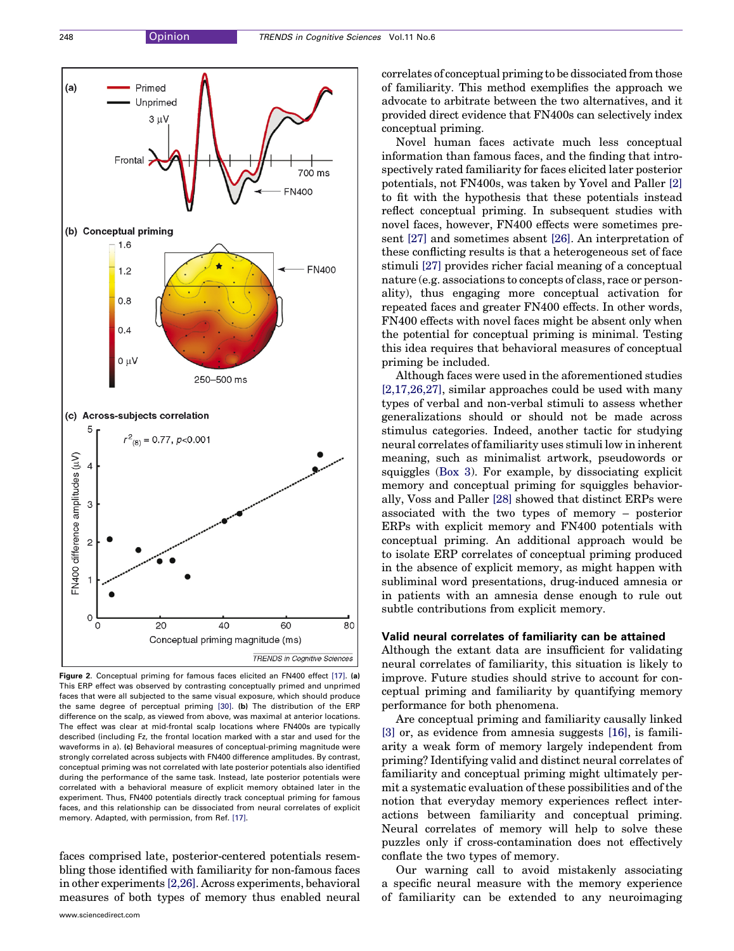<span id="page-5-0"></span>

Figure 2. Conceptual priming for famous faces elicited an FN400 effect [\[17\]](#page-6-0). (a) This ERP effect was observed by contrasting conceptually primed and unprimed faces that were all subjected to the same visual exposure, which should produce the same degree of perceptual priming [\[30\]](#page-7-0). (b) The distribution of the ERP difference on the scalp, as viewed from above, was maximal at anterior locations. The effect was clear at mid-frontal scalp locations where FN400s are typically described (including Fz, the frontal location marked with a star and used for the waveforms in a). (c) Behavioral measures of conceptual-priming magnitude were strongly correlated across subjects with FN400 difference amplitudes. By contrast, conceptual priming was not correlated with late posterior potentials also identified during the performance of the same task. Instead, late posterior potentials were correlated with a behavioral measure of explicit memory obtained later in the experiment. Thus, FN400 potentials directly track conceptual priming for famous faces, and this relationship can be dissociated from neural correlates of explicit memory. Adapted, with permission, from Ref. [\[17\]](#page-6-0).

faces comprised late, posterior-centered potentials resembling those identified with familiarity for non-famous faces in other experiments [\[2,26\].](#page-6-0) Across experiments, behavioral measures of both types of memory thus enabled neural correlates of conceptual priming to be dissociated from those of familiarity. This method exemplifies the approach we advocate to arbitrate between the two alternatives, and it provided direct evidence that FN400s can selectively index conceptual priming.

Novel human faces activate much less conceptual information than famous faces, and the finding that introspectively rated familiarity for faces elicited later posterior potentials, not FN400s, was taken by Yovel and Paller [\[2\]](#page-6-0) to fit with the hypothesis that these potentials instead reflect conceptual priming. In subsequent studies with novel faces, however, FN400 effects were sometimes present [\[27\]](#page-7-0) and sometimes absent [\[26\]](#page-7-0). An interpretation of these conflicting results is that a heterogeneous set of face stimuli [\[27\]](#page-7-0) provides richer facial meaning of a conceptual nature (e.g. associations to concepts of class, race or personality), thus engaging more conceptual activation for repeated faces and greater FN400 effects. In other words, FN400 effects with novel faces might be absent only when the potential for conceptual priming is minimal. Testing this idea requires that behavioral measures of conceptual priming be included.

Although faces were used in the aforementioned studies [\[2,17,26,27\],](#page-6-0) similar approaches could be used with many types of verbal and non-verbal stimuli to assess whether generalizations should or should not be made across stimulus categories. Indeed, another tactic for studying neural correlates of familiarity uses stimuli low in inherent meaning, such as minimalist artwork, pseudowords or squiggles ([Box 3](#page-6-0)). For example, by dissociating explicit memory and conceptual priming for squiggles behaviorally, Voss and Paller [\[28\]](#page-7-0) showed that distinct ERPs were associated with the two types of memory – posterior ERPs with explicit memory and FN400 potentials with conceptual priming. An additional approach would be to isolate ERP correlates of conceptual priming produced in the absence of explicit memory, as might happen with subliminal word presentations, drug-induced amnesia or in patients with an amnesia dense enough to rule out subtle contributions from explicit memory.

#### Valid neural correlates of familiarity can be attained

Although the extant data are insufficient for validating neural correlates of familiarity, this situation is likely to improve. Future studies should strive to account for conceptual priming and familiarity by quantifying memory performance for both phenomena.

Are conceptual priming and familiarity causally linked [\[3\]](#page-6-0) or, as evidence from amnesia suggests [\[16\]](#page-6-0), is familiarity a weak form of memory largely independent from priming? Identifying valid and distinct neural correlates of familiarity and conceptual priming might ultimately permit a systematic evaluation of these possibilities and of the notion that everyday memory experiences reflect interactions between familiarity and conceptual priming. Neural correlates of memory will help to solve these puzzles only if cross-contamination does not effectively conflate the two types of memory.

Our warning call to avoid mistakenly associating a specific neural measure with the memory experience of familiarity can be extended to any neuroimaging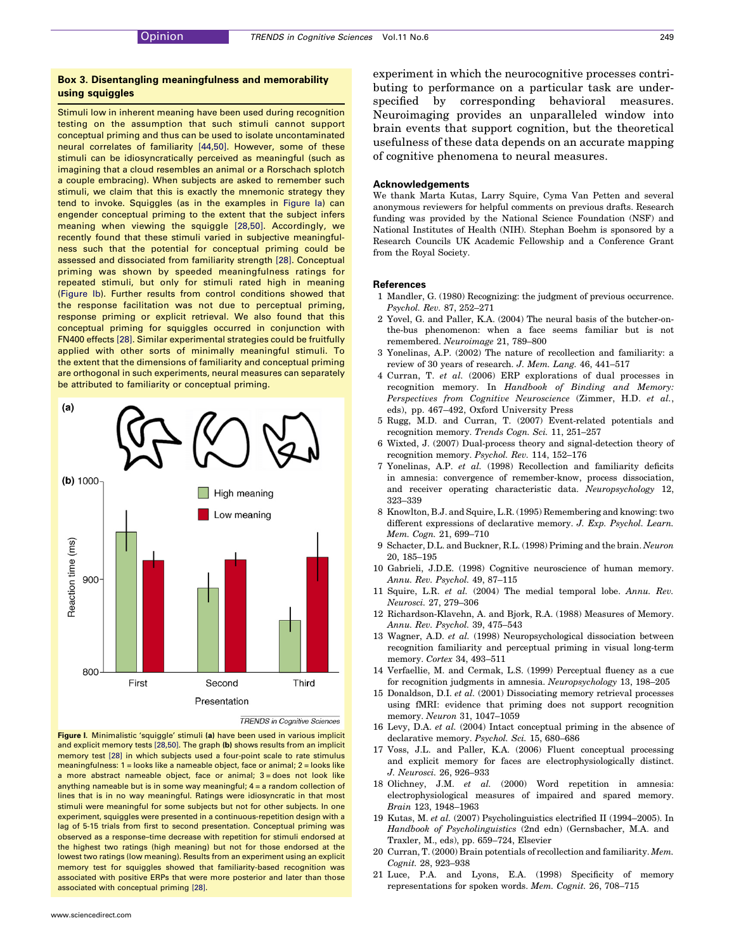### <span id="page-6-0"></span>Box 3. Disentangling meaningfulness and memorability using squiggles

Stimuli low in inherent meaning have been used during recognition testing on the assumption that such stimuli cannot support conceptual priming and thus can be used to isolate uncontaminated neural correlates of familiarity [\[44,50\]](#page-7-0). However, some of these stimuli can be idiosyncratically perceived as meaningful (such as imagining that a cloud resembles an animal or a Rorschach splotch a couple embracing). When subjects are asked to remember such stimuli, we claim that this is exactly the mnemonic strategy they tend to invoke. Squiggles (as in the examples in Figure Ia) can engender conceptual priming to the extent that the subject infers meaning when viewing the squiggle [\[28,50\].](#page-7-0) Accordingly, we recently found that these stimuli varied in subjective meaningfulness such that the potential for conceptual priming could be assessed and dissociated from familiarity strength [\[28\]](#page-7-0). Conceptual priming was shown by speeded meaningfulness ratings for repeated stimuli, but only for stimuli rated high in meaning (Figure Ib). Further results from control conditions showed that the response facilitation was not due to perceptual priming, response priming or explicit retrieval. We also found that this conceptual priming for squiggles occurred in conjunction with FN400 effects [\[28\].](#page-7-0) Similar experimental strategies could be fruitfully applied with other sorts of minimally meaningful stimuli. To the extent that the dimensions of familiarity and conceptual priming are orthogonal in such experiments, neural measures can separately be attributed to familiarity or conceptual priming.



**TRENDS** in Cognitive Sciences



experiment in which the neurocognitive processes contributing to performance on a particular task are underspecified by corresponding behavioral measures. Neuroimaging provides an unparalleled window into brain events that support cognition, but the theoretical usefulness of these data depends on an accurate mapping of cognitive phenomena to neural measures.

#### Acknowledgements

We thank Marta Kutas, Larry Squire, Cyma Van Petten and several anonymous reviewers for helpful comments on previous drafts. Research funding was provided by the National Science Foundation (NSF) and National Institutes of Health (NIH). Stephan Boehm is sponsored by a Research Councils UK Academic Fellowship and a Conference Grant from the Royal Society.

#### References

- 1 Mandler, G. (1980) Recognizing: the judgment of previous occurrence. Psychol. Rev. 87, 252–271
- 2 Yovel, G. and Paller, K.A. (2004) The neural basis of the butcher-onthe-bus phenomenon: when a face seems familiar but is not remembered. Neuroimage 21, 789–800
- 3 Yonelinas, A.P. (2002) The nature of recollection and familiarity: a review of 30 years of research. J. Mem. Lang. 46, 441–517
- 4 Curran, T. et al. (2006) ERP explorations of dual processes in recognition memory. In Handbook of Binding and Memory: Perspectives from Cognitive Neuroscience (Zimmer, H.D. et al., eds), pp. 467–492, Oxford University Press
- 5 Rugg, M.D. and Curran, T. (2007) Event-related potentials and recognition memory. Trends Cogn. Sci. 11, 251–257
- 6 Wixted, J. (2007) Dual-process theory and signal-detection theory of recognition memory. Psychol. Rev. 114, 152–176
- 7 Yonelinas, A.P. et al. (1998) Recollection and familiarity deficits in amnesia: convergence of remember-know, process dissociation, and receiver operating characteristic data. Neuropsychology 12, 323–339
- 8 Knowlton, B.J. and Squire, L.R. (1995) Remembering and knowing: two different expressions of declarative memory. J. Exp. Psychol. Learn. Mem. Cogn. 21, 699–710
- 9 Schacter, D.L. and Buckner, R.L. (1998) Priming and the brain. Neuron 20, 185–195
- 10 Gabrieli, J.D.E. (1998) Cognitive neuroscience of human memory. Annu. Rev. Psychol. 49, 87–115
- 11 Squire, L.R. et al. (2004) The medial temporal lobe. Annu. Rev. Neurosci. 27, 279–306
- 12 Richardson-Klavehn, A. and Bjork, R.A. (1988) Measures of Memory. Annu. Rev. Psychol. 39, 475–543
- 13 Wagner, A.D. et al. (1998) Neuropsychological dissociation between recognition familiarity and perceptual priming in visual long-term memory. Cortex 34, 493–511
- 14 Verfaellie, M. and Cermak, L.S. (1999) Perceptual fluency as a cue for recognition judgments in amnesia. Neuropsychology 13, 198–205
- 15 Donaldson, D.I. et al. (2001) Dissociating memory retrieval processes using fMRI: evidence that priming does not support recognition memory. Neuron 31, 1047–1059
- 16 Levy, D.A. et al. (2004) Intact conceptual priming in the absence of declarative memory. Psychol. Sci. 15, 680–686
- 17 Voss, J.L. and Paller, K.A. (2006) Fluent conceptual processing and explicit memory for faces are electrophysiologically distinct. J. Neurosci. 26, 926–933
- 18 Olichney, J.M. et al. (2000) Word repetition in amnesia: electrophysiological measures of impaired and spared memory. Brain 123, 1948–1963
- 19 Kutas, M. et al. (2007) Psycholinguistics electrified II (1994–2005). In Handbook of Psycholinguistics (2nd edn) (Gernsbacher, M.A. and Traxler, M., eds), pp. 659–724, Elsevier
- 20 Curran, T. (2000) Brain potentials of recollection and familiarity. Mem. Cognit. 28, 923–938
- 21 Luce, P.A. and Lyons, E.A. (1998) Specificity of memory representations for spoken words. Mem. Cognit. 26, 708–715